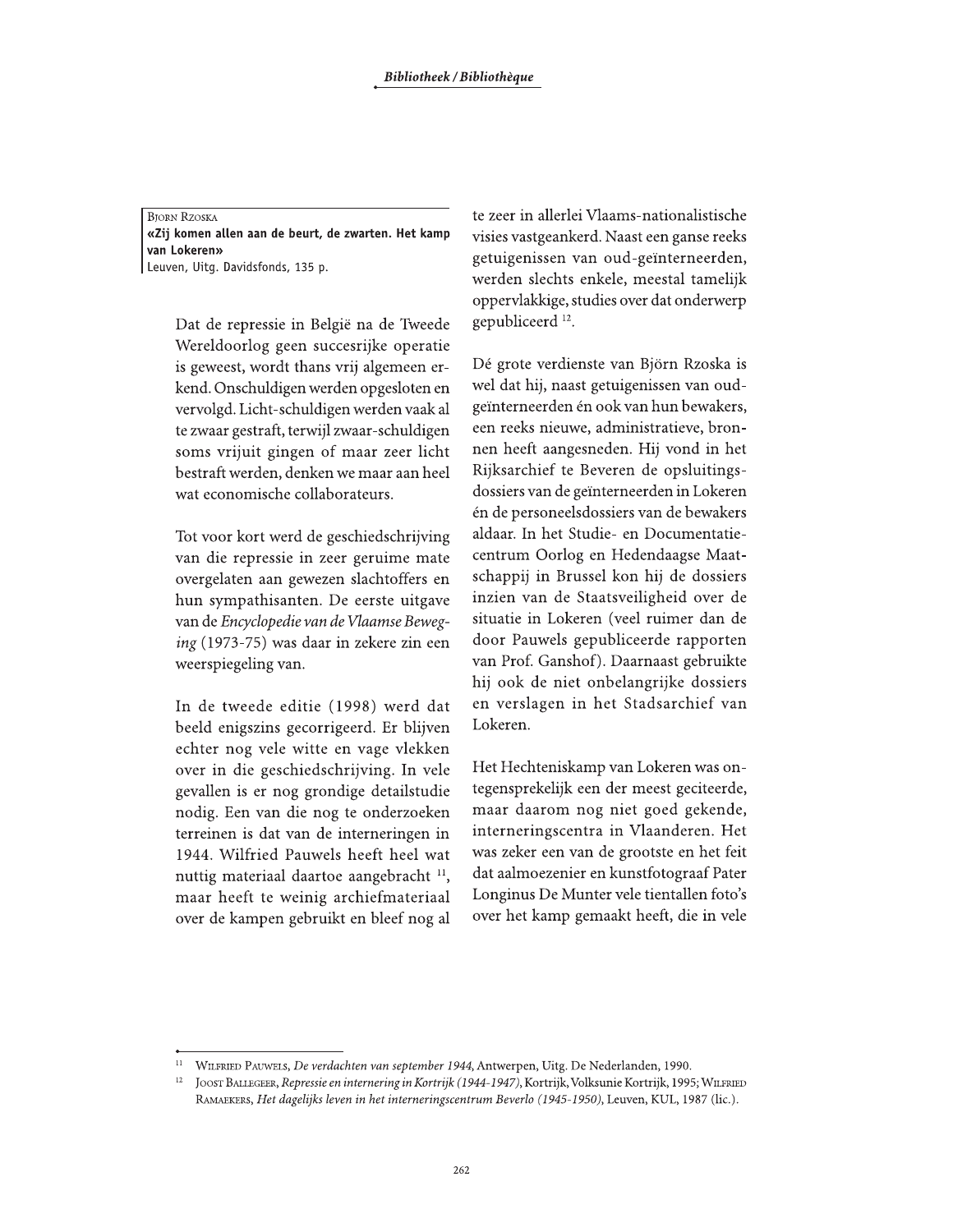**BJORN RZOSKA** «Zij komen allen aan de beurt, de zwarten. Het kamp van Lokeren» Leuven, Uitg. Davidsfonds, 135 p.

Dat de repressie in België na de Tweede Wereldoorlog geen succesrijke operatie is geweest, wordt thans vrij algemeen erkend. Onschuldigen werden opgesloten en vervolgd. Licht-schuldigen werden vaak al te zwaar gestraft, terwijl zwaar-schuldigen soms vrijuit gingen of maar zeer licht bestraft werden, denken we maar aan heel wat economische collaborateurs.

Tot voor kort werd de geschiedschrijving van die repressie in zeer geruime mate overgelaten aan gewezen slachtoffers en hun sympathisanten. De eerste uitgave van de Encyclopedie van de Vlaamse Beweging (1973-75) was daar in zekere zin een weerspiegeling van.

In de tweede editie (1998) werd dat beeld enigszins gecorrigeerd. Er blijven echter nog vele witte en vage vlekken over in die geschiedschrijving. In vele gevallen is er nog grondige detailstudie nodig. Een van die nog te onderzoeken terreinen is dat van de interneringen in 1944. Wilfried Pauwels heeft heel wat nuttig materiaal daartoe aangebracht <sup>11</sup>, maar heeft te weinig archiefmateriaal over de kampen gebruikt en bleef nog al te zeer in allerlei Vlaams-nationalistische visies vastgeankerd. Naast een ganse reeks getuigenissen van oud-geïnterneerden, werden slechts enkele, meestal tamelijk oppervlakkige, studies over dat onderwerp gepubliceerd<sup>12</sup>.

Dé grote verdienste van Björn Rzoska is wel dat hij, naast getuigenissen van oudgeïnterneerden én ook van hun bewakers, een reeks nieuwe, administratieve, bronnen heeft aangesneden. Hij vond in het Rijksarchief te Beveren de opsluitingsdossiers van de geïnterneerden in Lokeren én de personeelsdossiers van de bewakers aldaar. In het Studie- en Documentatiecentrum Oorlog en Hedendaagse Maatschappij in Brussel kon hij de dossiers inzien van de Staatsveiligheid over de situatie in Lokeren (veel ruimer dan de door Pauwels gepubliceerde rapporten van Prof. Ganshof). Daarnaast gebruikte hij ook de niet onbelangrijke dossiers en verslagen in het Stadsarchief van Lokeren.

Het Hechteniskamp van Lokeren was ontegensprekelijk een der meest geciteerde, maar daarom nog niet goed gekende, interneringscentra in Vlaanderen. Het was zeker een van de grootste en het feit dat aalmoezenier en kunstfotograaf Pater Longinus De Munter vele tientallen foto's over het kamp gemaakt heeft, die in vele

WILFRIED PAUWELS, De verdachten van september 1944, Antwerpen, Uitg. De Nederlanden, 1990.

 $12\,$ JOOST BALLEGEER, Repressie en internering in Kortrijk (1944-1947), Kortrijk, Volksunie Kortrijk, 1995; WILFRIED RAMAEKERS, Het dagelijks leven in het interneringscentrum Beverlo (1945-1950), Leuven, KUL, 1987 (lic.).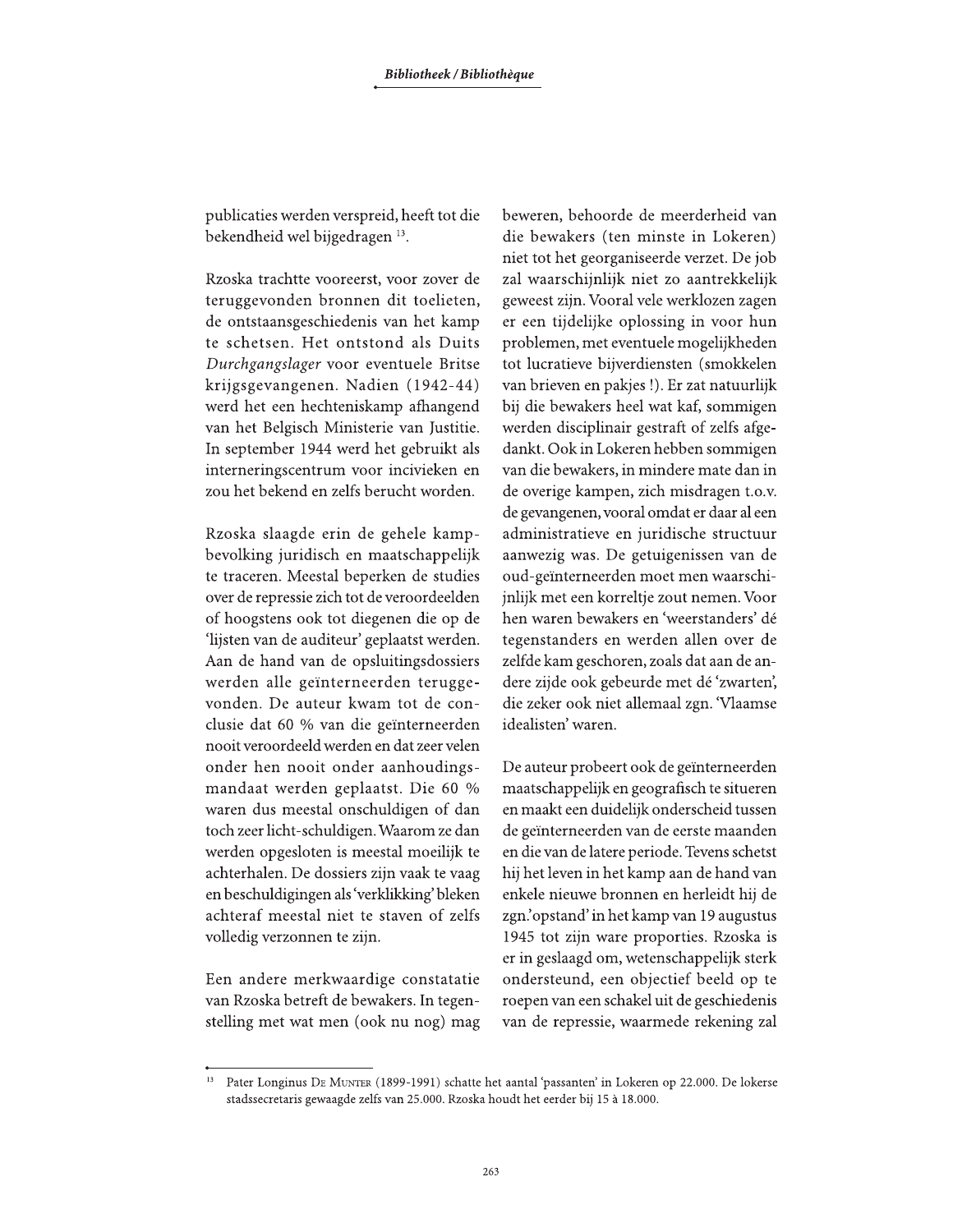publicaties werden verspreid, heeft tot die bekendheid wel bijgedragen 13.

Rzoska trachtte vooreerst, voor zover de teruggevonden bronnen dit toelieten, de ontstaansgeschiedenis van het kamp te schetsen. Het ontstond als Duits Durchgangslager voor eventuele Britse krijgsgevangenen. Nadien (1942-44) werd het een hechteniskamp afhangend van het Belgisch Ministerie van Justitie. In september 1944 werd het gebruikt als interneringscentrum voor incivieken en zou het bekend en zelfs berucht worden.

Rzoska slaagde erin de gehele kampbevolking juridisch en maatschappelijk te traceren. Meestal beperken de studies over de repressie zich tot de veroordeelden of hoogstens ook tot diegenen die op de 'lijsten van de auditeur' geplaatst werden. Aan de hand van de opsluitingsdossiers werden alle geïnterneerden teruggevonden. De auteur kwam tot de conclusie dat 60 % van die geïnterneerden nooit veroordeeld werden en dat zeer velen onder hen nooit onder aanhoudingsmandaat werden geplaatst. Die 60 % waren dus meestal onschuldigen of dan toch zeer licht-schuldigen. Waarom ze dan werden opgesloten is meestal moeilijk te achterhalen. De dossiers zijn vaak te vaag en beschuldigingen als 'verklikking' bleken achteraf meestal niet te staven of zelfs volledig verzonnen te zijn.

Een andere merkwaardige constatatie van Rzoska betreft de bewakers. In tegenstelling met wat men (ook nu nog) mag beweren, behoorde de meerderheid van die bewakers (ten minste in Lokeren) niet tot het georganiseerde verzet. De job zal waarschijnlijk niet zo aantrekkelijk geweest zijn. Vooral vele werklozen zagen er een tijdelijke oplossing in voor hun problemen, met eventuele mogelijkheden tot lucratieve bijverdiensten (smokkelen van brieven en pakjes!). Er zat natuurlijk bij die bewakers heel wat kaf, sommigen werden disciplinair gestraft of zelfs afgedankt. Ook in Lokeren hebben sommigen van die bewakers, in mindere mate dan in de overige kampen, zich misdragen t.o.v. de gevangenen, vooral omdat er daar al een administratieve en juridische structuur aanwezig was. De getuigenissen van de oud-geïnterneerden moet men waarschijnlijk met een korreltje zout nemen. Voor hen waren bewakers en 'weerstanders' dé tegenstanders en werden allen over de zelfde kam geschoren, zoals dat aan de andere zijde ook gebeurde met dé 'zwarten', die zeker ook niet allemaal zgn. Vlaamse idealisten' waren.

De auteur probeert ook de geïnterneerden maatschappelijk en geografisch te situeren en maakt een duidelijk onderscheid tussen de geïnterneerden van de eerste maanden en die van de latere periode. Tevens schetst hij het leven in het kamp aan de hand van enkele nieuwe bronnen en herleidt hij de zgn.'opstand' in het kamp van 19 augustus 1945 tot zijn ware proporties. Rzoska is er in geslaagd om, wetenschappelijk sterk ondersteund, een objectief beeld op te roepen van een schakel uit de geschiedenis van de repressie, waarmede rekening zal

Pater Longinus DE MUNTER (1899-1991) schatte het aantal 'passanten' in Lokeren op 22.000. De lokerse stadssecretaris gewaagde zelfs van 25.000. Rzoska houdt het eerder bij 15 à 18.000.